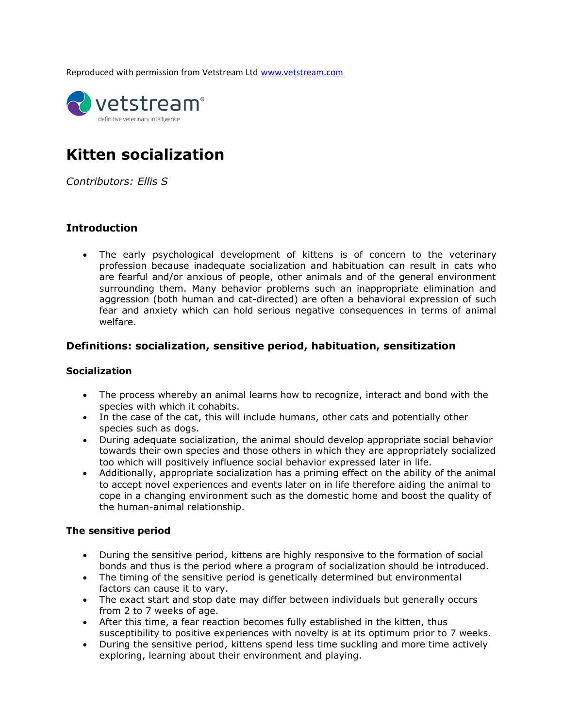Reproduced with permission from Vetstream Ltd [www.vetstream.com](http://www.vetstream.com/)



# **Kitten socialization**

*Contributors: Ellis S*

### **Introduction**

• The early psychological development of kittens is of concern to the veterinary profession because inadequate socialization and habituation can result in cats who are fearful and/or anxious of people, other animals and of the general environment surrounding them. Many behavior problems such an inappropriate elimination and aggression (both human and cat-directed) are often a behavioral expression of such fear and anxiety which can hold serious negative consequences in terms of animal welfare.

### **Definitions: socialization, sensitive period, habituation, sensitization**

### **Socialization**

- The process whereby an animal learns how to recognize, interact and bond with the species with which it cohabits.
- In the case of the cat, this will include humans, other cats and potentially other species such as dogs.
- During adequate socialization, the animal should develop appropriate social behavior towards their own species and those others in which they are appropriately socialized too which will positively influence social behavior expressed later in life.
- Additionally, appropriate socialization has a priming effect on the ability of the animal to accept novel experiences and events later on in life therefore aiding the animal to cope in a changing environment such as the domestic home and boost the quality of the human-animal relationship.

### **The sensitive period**

- During the sensitive period, kittens are highly responsive to the formation of social bonds and thus is the period where a program of socialization should be introduced.
- The timing of the sensitive period is genetically determined but environmental factors can cause it to vary.
- The exact start and stop date may differ between individuals but generally occurs from 2 to 7 weeks of age.
- After this time, a fear reaction becomes fully established in the kitten, thus susceptibility to positive experiences with novelty is at its optimum prior to 7 weeks.
- During the sensitive period, kittens spend less time suckling and more time actively exploring, learning about their environment and playing.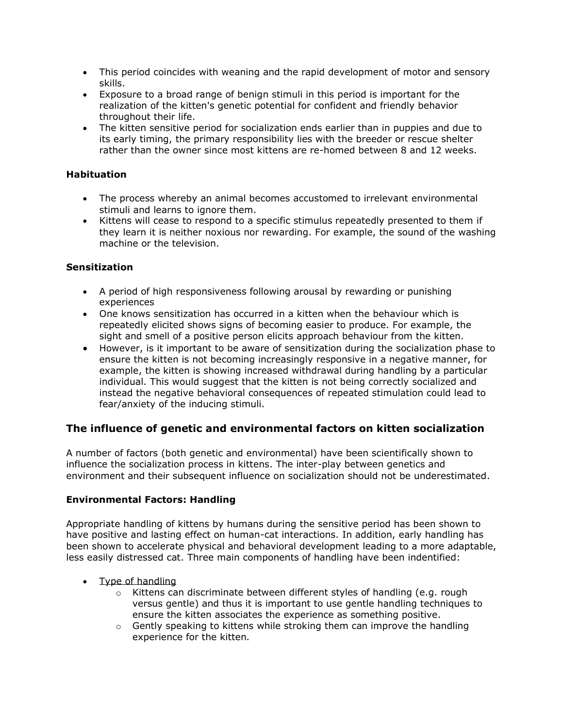- This period coincides with weaning and the rapid development of motor and sensory skills.
- Exposure to a broad range of benign stimuli in this period is important for the realization of the kitten's genetic potential for confident and friendly behavior throughout their life.
- The kitten sensitive period for socialization ends earlier than in puppies and due to its early timing, the primary responsibility lies with the breeder or rescue shelter rather than the owner since most kittens are re-homed between 8 and 12 weeks.

### **Habituation**

- The process whereby an animal becomes accustomed to irrelevant environmental stimuli and learns to ignore them.
- Kittens will cease to respond to a specific stimulus repeatedly presented to them if they learn it is neither noxious nor rewarding. For example, the sound of the washing machine or the television.

### **Sensitization**

- A period of high responsiveness following arousal by rewarding or punishing experiences
- One knows sensitization has occurred in a kitten when the behaviour which is repeatedly elicited shows signs of becoming easier to produce. For example, the sight and smell of a positive person elicits approach behaviour from the kitten.
- However, is it important to be aware of sensitization during the socialization phase to ensure the kitten is not becoming increasingly responsive in a negative manner, for example, the kitten is showing increased withdrawal during handling by a particular individual. This would suggest that the kitten is not being correctly socialized and instead the negative behavioral consequences of repeated stimulation could lead to fear/anxiety of the inducing stimuli.

### **The influence of genetic and environmental factors on kitten socialization**

A number of factors (both genetic and environmental) have been scientifically shown to influence the socialization process in kittens. The inter-play between genetics and environment and their subsequent influence on socialization should not be underestimated.

### **Environmental Factors: Handling**

Appropriate handling of kittens by humans during the sensitive period has been shown to have positive and lasting effect on human-cat interactions. In addition, early handling has been shown to accelerate physical and behavioral development leading to a more adaptable, less easily distressed cat. Three main components of handling have been indentified:

- Type of handling
	- $\circ$  Kittens can discriminate between different styles of handling (e.g. rough versus gentle) and thus it is important to use gentle handling techniques to ensure the kitten associates the experience as something positive.
	- $\circ$  Gently speaking to kittens while stroking them can improve the handling experience for the kitten.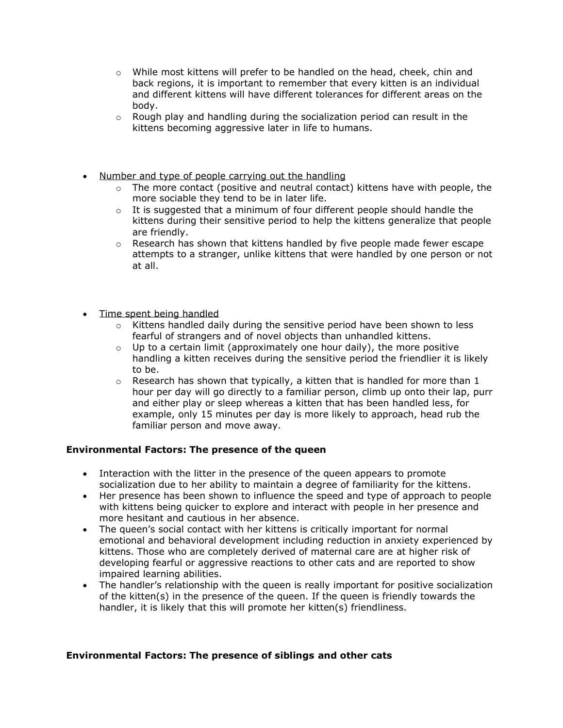- $\circ$  While most kittens will prefer to be handled on the head, cheek, chin and back regions, it is important to remember that every kitten is an individual and different kittens will have different tolerances for different areas on the body.
- $\circ$  Rough play and handling during the socialization period can result in the kittens becoming aggressive later in life to humans.
- Number and type of people carrying out the handling
	- $\circ$  The more contact (positive and neutral contact) kittens have with people, the more sociable they tend to be in later life.
	- $\circ$  It is suggested that a minimum of four different people should handle the kittens during their sensitive period to help the kittens generalize that people are friendly.
	- $\circ$  Research has shown that kittens handled by five people made fewer escape attempts to a stranger, unlike kittens that were handled by one person or not at all.
- Time spent being handled
	- $\circ$  Kittens handled daily during the sensitive period have been shown to less fearful of strangers and of novel objects than unhandled kittens.
	- $\circ$  Up to a certain limit (approximately one hour daily), the more positive handling a kitten receives during the sensitive period the friendlier it is likely to be.
	- $\circ$  Research has shown that typically, a kitten that is handled for more than 1 hour per day will go directly to a familiar person, climb up onto their lap, purr and either play or sleep whereas a kitten that has been handled less, for example, only 15 minutes per day is more likely to approach, head rub the familiar person and move away.

### **Environmental Factors: The presence of the queen**

- Interaction with the litter in the presence of the queen appears to promote socialization due to her ability to maintain a degree of familiarity for the kittens.
- Her presence has been shown to influence the speed and type of approach to people with kittens being quicker to explore and interact with people in her presence and more hesitant and cautious in her absence.
- The queen's social contact with her kittens is critically important for normal emotional and behavioral development including reduction in anxiety experienced by kittens. Those who are completely derived of maternal care are at higher risk of developing fearful or aggressive reactions to other cats and are reported to show impaired learning abilities.
- The handler's relationship with the queen is really important for positive socialization of the kitten(s) in the presence of the queen. If the queen is friendly towards the handler, it is likely that this will promote her kitten(s) friendliness.

### **Environmental Factors: The presence of siblings and other cats**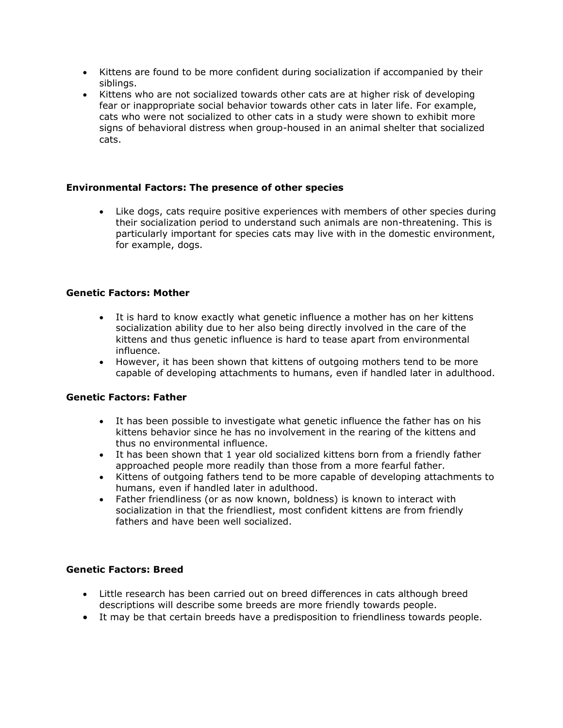- Kittens are found to be more confident during socialization if accompanied by their siblings.
- Kittens who are not socialized towards other cats are at higher risk of developing fear or inappropriate social behavior towards other cats in later life. For example, cats who were not socialized to other cats in a study were shown to exhibit more signs of behavioral distress when group-housed in an animal shelter that socialized cats.

### **Environmental Factors: The presence of other species**

• Like dogs, cats require positive experiences with members of other species during their socialization period to understand such animals are non-threatening. This is particularly important for species cats may live with in the domestic environment, for example, dogs.

### **Genetic Factors: Mother**

- It is hard to know exactly what genetic influence a mother has on her kittens socialization ability due to her also being directly involved in the care of the kittens and thus genetic influence is hard to tease apart from environmental influence.
- However, it has been shown that kittens of outgoing mothers tend to be more capable of developing attachments to humans, even if handled later in adulthood.

### **Genetic Factors: Father**

- It has been possible to investigate what genetic influence the father has on his kittens behavior since he has no involvement in the rearing of the kittens and thus no environmental influence.
- It has been shown that 1 year old socialized kittens born from a friendly father approached people more readily than those from a more fearful father.
- Kittens of outgoing fathers tend to be more capable of developing attachments to humans, even if handled later in adulthood.
- Father friendliness (or as now known, boldness) is known to interact with socialization in that the friendliest, most confident kittens are from friendly fathers and have been well socialized.

### **Genetic Factors: Breed**

- Little research has been carried out on breed differences in cats although breed descriptions will describe some breeds are more friendly towards people.
- It may be that certain breeds have a predisposition to friendliness towards people.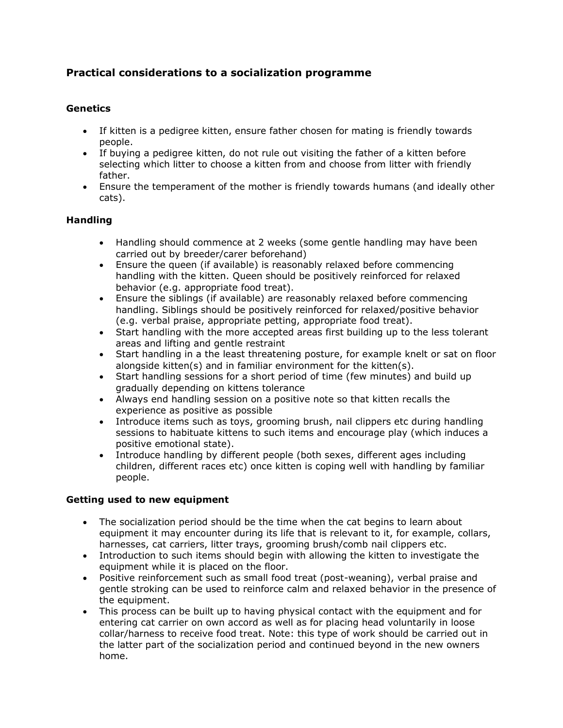# **Practical considerations to a socialization programme**

### **Genetics**

- If kitten is a pedigree kitten, ensure father chosen for mating is friendly towards people.
- If buying a pedigree kitten, do not rule out visiting the father of a kitten before selecting which litter to choose a kitten from and choose from litter with friendly father.
- Ensure the temperament of the mother is friendly towards humans (and ideally other cats).

### **Handling**

- Handling should commence at 2 weeks (some gentle handling may have been carried out by breeder/carer beforehand)
- Ensure the queen (if available) is reasonably relaxed before commencing handling with the kitten. Queen should be positively reinforced for relaxed behavior (e.g. appropriate food treat).
- Ensure the siblings (if available) are reasonably relaxed before commencing handling. Siblings should be positively reinforced for relaxed/positive behavior (e.g. verbal praise, appropriate petting, appropriate food treat).
- Start handling with the more accepted areas first building up to the less tolerant areas and lifting and gentle restraint
- Start handling in a the least threatening posture, for example knelt or sat on floor alongside kitten(s) and in familiar environment for the kitten(s).
- Start handling sessions for a short period of time (few minutes) and build up gradually depending on kittens tolerance
- Always end handling session on a positive note so that kitten recalls the experience as positive as possible
- Introduce items such as toys, grooming brush, nail clippers etc during handling sessions to habituate kittens to such items and encourage play (which induces a positive emotional state).
- Introduce handling by different people (both sexes, different ages including children, different races etc) once kitten is coping well with handling by familiar people.

### **Getting used to new equipment**

- The socialization period should be the time when the cat begins to learn about equipment it may encounter during its life that is relevant to it, for example, collars, harnesses, cat carriers, litter trays, grooming brush/comb nail clippers etc.
- Introduction to such items should begin with allowing the kitten to investigate the equipment while it is placed on the floor.
- Positive reinforcement such as small food treat (post-weaning), verbal praise and gentle stroking can be used to reinforce calm and relaxed behavior in the presence of the equipment.
- This process can be built up to having physical contact with the equipment and for entering cat carrier on own accord as well as for placing head voluntarily in loose collar/harness to receive food treat. Note: this type of work should be carried out in the latter part of the socialization period and continued beyond in the new owners home.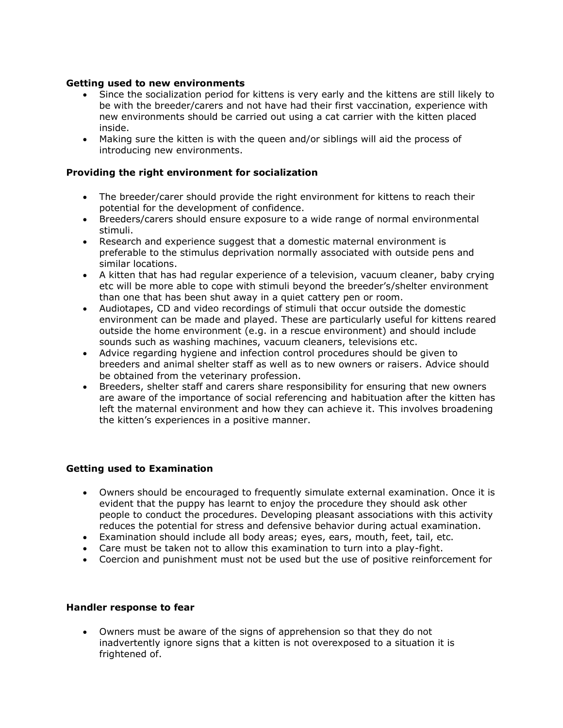### **Getting used to new environments**

- Since the socialization period for kittens is very early and the kittens are still likely to be with the breeder/carers and not have had their first vaccination, experience with new environments should be carried out using a cat carrier with the kitten placed inside.
- Making sure the kitten is with the queen and/or siblings will aid the process of introducing new environments.

### **Providing the right environment for socialization**

- The breeder/carer should provide the right environment for kittens to reach their potential for the development of confidence.
- Breeders/carers should ensure exposure to a wide range of normal environmental stimuli.
- Research and experience suggest that a domestic maternal environment is preferable to the stimulus deprivation normally associated with outside pens and similar locations.
- A kitten that has had regular experience of a television, vacuum cleaner, baby crying etc will be more able to cope with stimuli beyond the breeder's/shelter environment than one that has been shut away in a quiet cattery pen or room.
- Audiotapes, CD and video recordings of stimuli that occur outside the domestic environment can be made and played. These are particularly useful for kittens reared outside the home environment (e.g. in a rescue environment) and should include sounds such as washing machines, vacuum cleaners, televisions etc.
- Advice regarding hygiene and infection control procedures should be given to breeders and animal shelter staff as well as to new owners or raisers. Advice should be obtained from the veterinary profession.
- Breeders, shelter staff and carers share responsibility for ensuring that new owners are aware of the importance of social referencing and habituation after the kitten has left the maternal environment and how they can achieve it. This involves broadening the kitten's experiences in a positive manner.

### **Getting used to Examination**

- Owners should be encouraged to frequently simulate external examination. Once it is evident that the puppy has learnt to enjoy the procedure they should ask other people to conduct the procedures. Developing pleasant associations with this activity reduces the potential for stress and defensive behavior during actual examination.
- Examination should include all body areas; eyes, ears, mouth, feet, tail, etc.
- Care must be taken not to allow this examination to turn into a play-fight.
- Coercion and punishment must not be used but the use of positive reinforcement for

### **Handler response to fear**

• Owners must be aware of the signs of apprehension so that they do not inadvertently ignore signs that a kitten is not overexposed to a situation it is frightened of.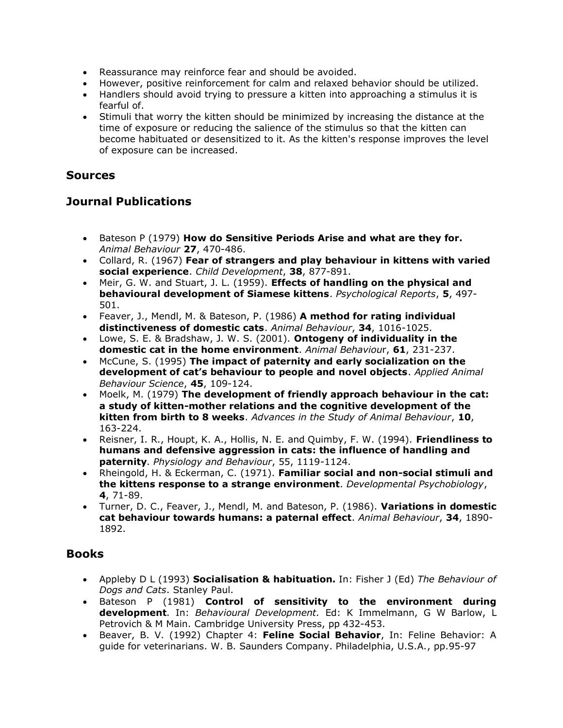- Reassurance may reinforce fear and should be avoided.
- However, positive reinforcement for calm and relaxed behavior should be utilized.
- Handlers should avoid trying to pressure a kitten into approaching a stimulus it is fearful of.
- Stimuli that worry the kitten should be minimized by increasing the distance at the time of exposure or reducing the salience of the stimulus so that the kitten can become habituated or desensitized to it. As the kitten's response improves the level of exposure can be increased.

## **Sources**

# **Journal Publications**

- Bateson P (1979) **How do Sensitive Periods Arise and what are they for.** *Animal Behaviour* **27**, 470-486.
- Collard, R. (1967) **Fear of strangers and play behaviour in kittens with varied social experience**. *Child Development*, **38**, 877-891.
- Meir, G. W. and Stuart, J. L. (1959). **Effects of handling on the physical and behavioural development of Siamese kittens**. *Psychological Reports*, **5**, 497- 501.
- Feaver, J., Mendl, M. & Bateson, P. (1986) **A method for rating individual distinctiveness of domestic cats**. *Animal Behaviour*, **34**, 1016-1025.
- Lowe, S. E. & Bradshaw, J. W. S. (2001). **Ontogeny of individuality in the domestic cat in the home environment**. *Animal Behaviou*r, **61**, 231-237.
- McCune, S. (1995) **The impact of paternity and early socialization on the development of cat's behaviour to people and novel objects**. *Applied Animal Behaviour Science*, **45**, 109-124.
- Moelk, M. (1979) **The development of friendly approach behaviour in the cat: a study of kitten-mother relations and the cognitive development of the kitten from birth to 8 weeks**. *Advances in the Study of Animal Behaviour*, **10**, 163-224.
- Reisner, I. R., Houpt, K. A., Hollis, N. E. and Quimby, F. W. (1994). **Friendliness to humans and defensive aggression in cats: the influence of handling and paternity**. *Physiology and Behaviour*, 55, 1119-1124.
- Rheingold, H. & Eckerman, C. (1971). **Familiar social and non-social stimuli and the kittens response to a strange environment**. *Developmental Psychobiology*, **4**, 71-89.
- Turner, D. C., Feaver, J., Mendl, M. and Bateson, P. (1986). **Variations in domestic cat behaviour towards humans: a paternal effect**. *Animal Behaviour*, **34**, 1890- 1892.

# **Books**

- Appleby D L (1993) **Socialisation & habituation.** In: Fisher J (Ed) *The Behaviour of Dogs and Cats*. Stanley Paul.
- Bateson P (1981) **Control of sensitivity to the environment during development**. In: *Behavioural Development.* Ed: K Immelmann, G W Barlow, L Petrovich & M Main. Cambridge University Press, pp 432-453.
- Beaver, B. V. (1992) Chapter 4: **Feline Social Behavior**, In: Feline Behavior: A guide for veterinarians. W. B. Saunders Company. Philadelphia, U.S.A., pp.95-97